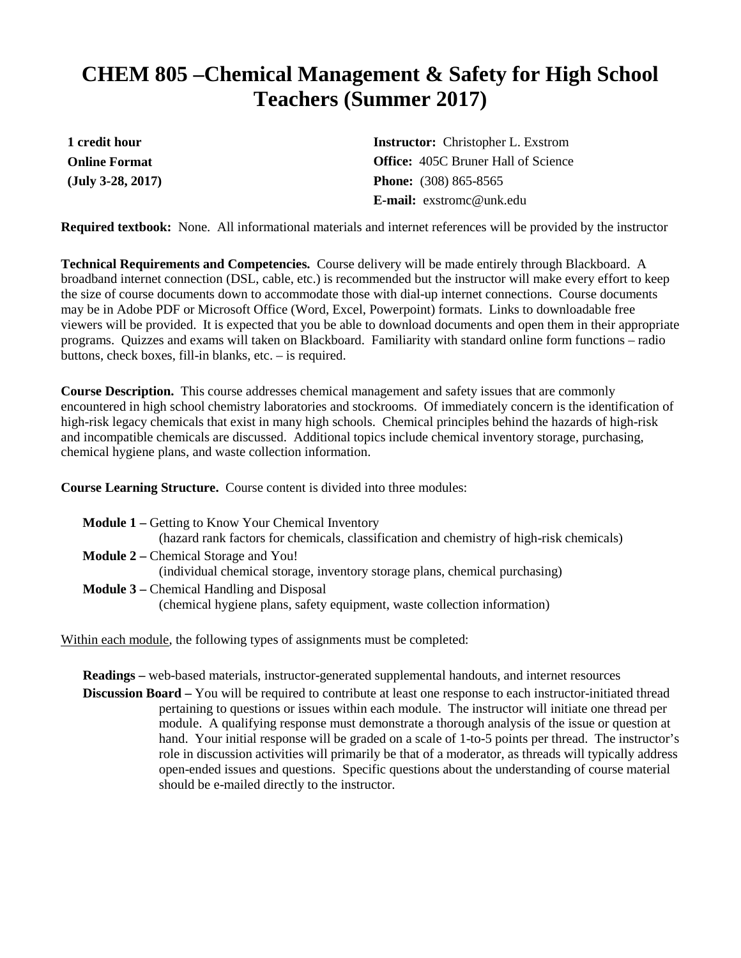## **CHEM 805 –Chemical Management & Safety for High School Teachers (Summer 2017)**

**1 credit hour Online Format (July 3-28, 2017)** **Instructor:** Christopher L. Exstrom **Office:** 405C Bruner Hall of Science **Phone:** (308) 865-8565 **E-mail:** exstromc@unk.edu

**Required textbook:** None. All informational materials and internet references will be provided by the instructor

**Technical Requirements and Competencies.** Course delivery will be made entirely through Blackboard. A broadband internet connection (DSL, cable, etc.) is recommended but the instructor will make every effort to keep the size of course documents down to accommodate those with dial-up internet connections. Course documents may be in Adobe PDF or Microsoft Office (Word, Excel, Powerpoint) formats. Links to downloadable free viewers will be provided. It is expected that you be able to download documents and open them in their appropriate programs. Quizzes and exams will taken on Blackboard. Familiarity with standard online form functions – radio buttons, check boxes, fill-in blanks, etc. – is required.

**Course Description.** This course addresses chemical management and safety issues that are commonly encountered in high school chemistry laboratories and stockrooms. Of immediately concern is the identification of high-risk legacy chemicals that exist in many high schools. Chemical principles behind the hazards of high-risk and incompatible chemicals are discussed. Additional topics include chemical inventory storage, purchasing, chemical hygiene plans, and waste collection information.

**Course Learning Structure.** Course content is divided into three modules:

- **Module 1 –** Getting to Know Your Chemical Inventory (hazard rank factors for chemicals, classification and chemistry of high-risk chemicals) **Module 2 –** Chemical Storage and You! (individual chemical storage, inventory storage plans, chemical purchasing)
- **Module 3 –** Chemical Handling and Disposal (chemical hygiene plans, safety equipment, waste collection information)

Within each module, the following types of assignments must be completed:

**Readings –** web-based materials, instructor-generated supplemental handouts, and internet resources

**Discussion Board** – You will be required to contribute at least one response to each instructor-initiated thread pertaining to questions or issues within each module. The instructor will initiate one thread per module. A qualifying response must demonstrate a thorough analysis of the issue or question at hand. Your initial response will be graded on a scale of 1-to-5 points per thread. The instructor's role in discussion activities will primarily be that of a moderator, as threads will typically address open-ended issues and questions. Specific questions about the understanding of course material should be e-mailed directly to the instructor.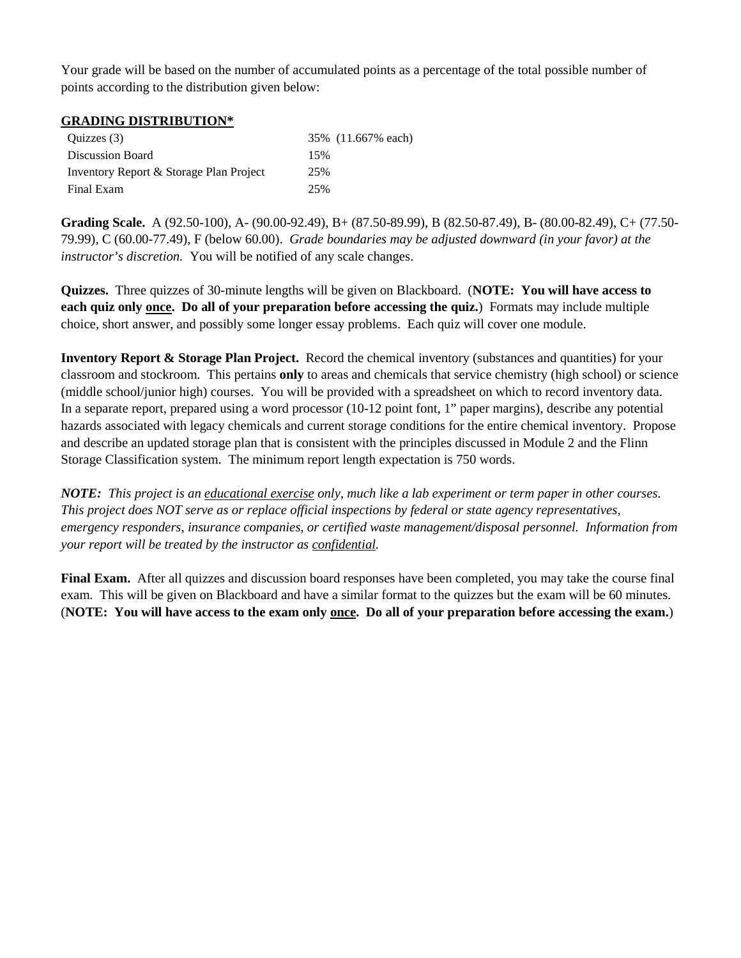Your grade will be based on the number of accumulated points as a percentage of the total possible number of points according to the distribution given below:

## **GRADING DISTRIBUTION\***

| Quizzes (3)                             | 35% (11.667% each) |
|-----------------------------------------|--------------------|
| Discussion Board                        | 15%                |
| Inventory Report & Storage Plan Project | 25%                |
| Final Exam                              | 25%                |

**Grading Scale.** A (92.50-100), A- (90.00-92.49), B+ (87.50-89.99), B (82.50-87.49), B- (80.00-82.49), C+ (77.50- 79.99), C (60.00-77.49), F (below 60.00). *Grade boundaries may be adjusted downward (in your favor) at the instructor's discretion.* You will be notified of any scale changes.

**Quizzes.** Three quizzes of 30-minute lengths will be given on Blackboard. (**NOTE: You will have access to each quiz only once. Do all of your preparation before accessing the quiz.**) Formats may include multiple choice, short answer, and possibly some longer essay problems. Each quiz will cover one module.

**Inventory Report & Storage Plan Project.** Record the chemical inventory (substances and quantities) for your classroom and stockroom. This pertains **only** to areas and chemicals that service chemistry (high school) or science (middle school/junior high) courses. You will be provided with a spreadsheet on which to record inventory data. In a separate report, prepared using a word processor (10-12 point font, 1" paper margins), describe any potential hazards associated with legacy chemicals and current storage conditions for the entire chemical inventory. Propose and describe an updated storage plan that is consistent with the principles discussed in Module 2 and the Flinn Storage Classification system. The minimum report length expectation is 750 words.

*NOTE: This project is an educational exercise only, much like a lab experiment or term paper in other courses. This project does NOT serve as or replace official inspections by federal or state agency representatives, emergency responders, insurance companies, or certified waste management/disposal personnel. Information from your report will be treated by the instructor as confidential.*

**Final Exam.** After all quizzes and discussion board responses have been completed, you may take the course final exam. This will be given on Blackboard and have a similar format to the quizzes but the exam will be 60 minutes. (**NOTE: You will have access to the exam only once. Do all of your preparation before accessing the exam.**)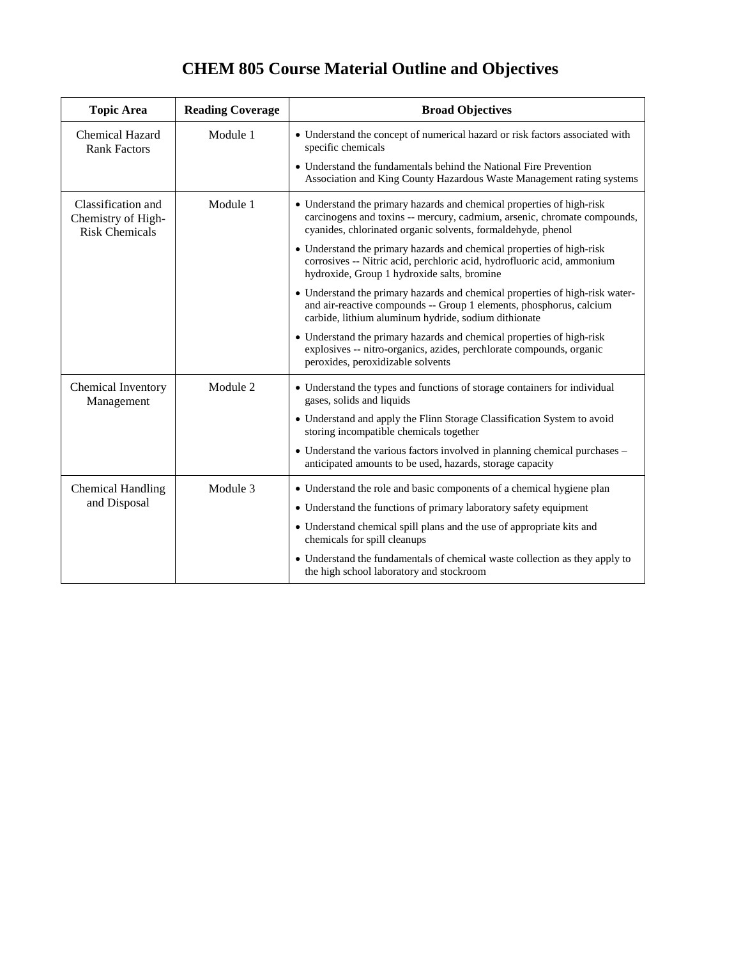## **CHEM 805 Course Material Outline and Objectives**

| <b>Topic Area</b>                                                 | <b>Reading Coverage</b> | <b>Broad Objectives</b>                                                                                                                                                                                           |
|-------------------------------------------------------------------|-------------------------|-------------------------------------------------------------------------------------------------------------------------------------------------------------------------------------------------------------------|
| <b>Chemical Hazard</b><br><b>Rank Factors</b>                     | Module 1                | • Understand the concept of numerical hazard or risk factors associated with<br>specific chemicals                                                                                                                |
|                                                                   |                         | • Understand the fundamentals behind the National Fire Prevention<br>Association and King County Hazardous Waste Management rating systems                                                                        |
| Classification and<br>Chemistry of High-<br><b>Risk Chemicals</b> | Module 1                | • Understand the primary hazards and chemical properties of high-risk<br>carcinogens and toxins -- mercury, cadmium, arsenic, chromate compounds,<br>cyanides, chlorinated organic solvents, formaldehyde, phenol |
|                                                                   |                         | • Understand the primary hazards and chemical properties of high-risk<br>corrosives -- Nitric acid, perchloric acid, hydrofluoric acid, ammonium<br>hydroxide, Group 1 hydroxide salts, bromine                   |
|                                                                   |                         | • Understand the primary hazards and chemical properties of high-risk water-<br>and air-reactive compounds -- Group 1 elements, phosphorus, calcium<br>carbide, lithium aluminum hydride, sodium dithionate       |
|                                                                   |                         | • Understand the primary hazards and chemical properties of high-risk<br>explosives -- nitro-organics, azides, perchlorate compounds, organic<br>peroxides, peroxidizable solvents                                |
| Chemical Inventory<br>Management                                  | Module 2                | • Understand the types and functions of storage containers for individual<br>gases, solids and liquids                                                                                                            |
|                                                                   |                         | • Understand and apply the Flinn Storage Classification System to avoid<br>storing incompatible chemicals together                                                                                                |
|                                                                   |                         | • Understand the various factors involved in planning chemical purchases –<br>anticipated amounts to be used, hazards, storage capacity                                                                           |
| <b>Chemical Handling</b><br>and Disposal                          | Module 3                | • Understand the role and basic components of a chemical hygiene plan                                                                                                                                             |
|                                                                   |                         | • Understand the functions of primary laboratory safety equipment                                                                                                                                                 |
|                                                                   |                         | • Understand chemical spill plans and the use of appropriate kits and<br>chemicals for spill cleanups                                                                                                             |
|                                                                   |                         | • Understand the fundamentals of chemical waste collection as they apply to<br>the high school laboratory and stockroom                                                                                           |